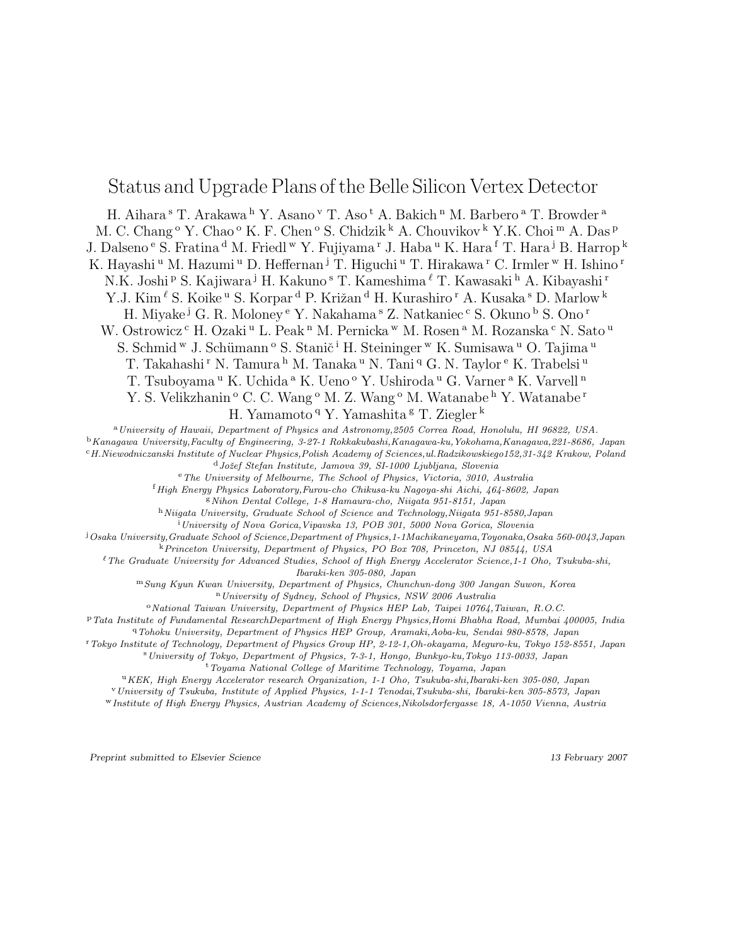# Status and Upgrade Plans of the Belle Silicon Vertex Detector

H. Aihara<sup>s</sup> T. Arakawa<sup>h</sup> Y. Asano<sup>v</sup> T. Aso<sup>t</sup> A. Bakich<sup>n</sup> M. Barbero<sup>a</sup> T. Browder<sup>a</sup> M. C. Chang  $\rm ^o$  Y. Chao  $\rm ^o$  K. F. Chen  $\rm ^o$  S. Chidzik  $\rm ^k$  A. Chouvikov  $\rm ^k$  Y.K. Choi  $\rm ^m$  A. Das  $\rm ^p$ J. Dalseno<sup>e</sup> S. Fratina<sup>d</sup> M. Friedl<sup>w</sup> Y. Fujiyama<sup>r</sup> J. Haba<sup>u</sup> K. Hara<sup>f</sup> T. Hara<sup>j</sup> B. Harrop<sup>k</sup> K. Hayashi <sup>u</sup> M. Hazumi <sup>u</sup> D. Heffernan <sup>j</sup> T. Higuchi <sup>u</sup> T. Hirakawa <sup>r</sup> C. Irmler <sup>w</sup> H. Ishino <sup>r</sup> N.K. Joshi <sup>p</sup> S. Kajiwara <sup>j</sup> H. Kakuno <sup>s</sup> T. Kameshima  $\ell$  T. Kawasaki <sup>h</sup> A. Kibayashi <sup>r</sup> Y.J. Kim  $\ell$  S. Koike <sup>u</sup> S. Korpar <sup>d</sup> P. Križan <sup>d</sup> H. Kurashiro <sup>r</sup> A. Kusaka <sup>s</sup> D. Marlow <sup>k</sup> H. Miyake <sup>j</sup> G. R. Moloney <sup>e</sup> Y. Nakahama <sup>s</sup> Z. Natkaniec <sup>c</sup> S. Okuno <sup>b</sup> S. Ono <sup>r</sup> W. Ostrowicz <sup>c</sup> H. Ozaki <sup>u</sup> L. Peak <sup>n</sup> M. Pernicka <sup>w</sup> M. Rosen <sup>a</sup> M. Rozanska <sup>c</sup> N. Sato <sup>u</sup> S. Schmid <sup>w</sup> J. Schümann <sup>o</sup> S. Stanič <sup>i</sup> H. Steininger <sup>w</sup> K. Sumisawa <sup>u</sup> O. Tajima <sup>u</sup> T. Takahashi <sup>r</sup> N. Tamura <sup>h</sup> M. Tanaka <sup>u</sup> N. Tani <sup>q</sup> G. N. Taylor <sup>e</sup> K. Trabelsi <sup>u</sup> T. Tsuboyama <sup>u</sup> K. Uchida <sup>a</sup> K. Ueno <sup>o</sup> Y. Ushiroda <sup>u</sup> G. Varner <sup>a</sup> K. Varvell <sup>n</sup> Y. S. Velikzhanin<sup>o</sup> C. C. Wang<sup>o</sup> M. Z. Wang<sup>o</sup> M. Watanabe<sup>h</sup> Y. Watanabe<sup>r</sup>

H. Yamamoto <sup>q</sup> Y. Yamashita <sup>g</sup> T. Ziegler <sup>k</sup>

<sup>a</sup>University of Hawaii, Department of Physics and Astronomy, 2505 Correa Road, Honolulu, HI 96822, USA.

<sup>b</sup>Kanagawa University,Faculty of Engineering, 3-27-1 Rokkakubashi,Kanagawa-ku,Yokohama,Kanagawa,221-8686, Japan

<sup>c</sup>H.Niewodniczanski Institute of Nuclear Physics,Polish Academy of Sciences,ul.Radzikowskiego152,31-342 Krakow, Poland <sup>d</sup> Jožef Stefan Institute, Jamova 39, SI-1000 Ljubljana, Slovenia

<sup>e</sup>The University of Melbourne, The School of Physics, Victoria, 3010, Australia

<sup>f</sup>High Energy Physics Laboratory,Furou-cho Chikusa-ku Nagoya-shi Aichi, 464-8602, Japan

<sup>g</sup>Nihon Dental College, 1-8 Hamaura-cho, Niigata 951-8151, Japan

h Niigata University, Graduate School of Science and Technology, Niigata 951-8580, Japan

<sup>i</sup>University of Nova Gorica, Vipavska 13, POB 301, 5000 Nova Gorica, Slovenia

<sup>j</sup>Osaka University,Graduate School of Science,Department of Physics,1-1Machikaneyama,Toyonaka,Osaka 560-0043,Japan

<sup>k</sup>Princeton University, Department of Physics, PO Box 708, Princeton, NJ 08544, USA

 ${}^{\ell}$ The Graduate University for Advanced Studies, School of High Energy Accelerator Science,1-1 Oho, Tsukuba-shi, Ibaraki-ken 305-080, Japan

<sup>m</sup>Sung Kyun Kwan University, Department of Physics, Chunchun-dong 300 Jangan Suwon, Korea

<sup>n</sup>University of Sydney, School of Physics, NSW 2006 Australia

 $\alpha$ <sup>o</sup>National Taiwan University, Department of Physics HEP Lab, Taipei 10764, Taiwan, R.O.C.

<sup>p</sup>Tata Institute of Fundamental ResearchDepartment of High Energy Physics,Homi Bhabha Road, Mumbai 400005, India

<sup>q</sup>Tohoku University, Department of Physics HEP Group, Aramaki,Aoba-ku, Sendai 980-8578, Japan

<sup>r</sup>Tokyo Institute of Technology, Department of Physics Group HP, 2-12-1,Oh-okayama, Meguro-ku, Tokyo 152-8551, Japan

<sup>s</sup>University of Tokyo, Department of Physics, 7-3-1, Hongo, Bunkyo-ku,Tokyo 113-0033, Japan

 $t$ Toyama National College of Maritime Technology, Toyama, Japan

<sup>u</sup>KEK, High Energy Accelerator research Organization, 1-1 Oho, Tsukuba-shi,Ibaraki-ken 305-080, Japan

<sup>v</sup>University of Tsukuba, Institute of Applied Physics, 1-1-1 Tenodai,Tsukuba-shi, Ibaraki-ken 305-8573, Japan

<sup>w</sup>Institute of High Energy Physics, Austrian Academy of Sciences,Nikolsdorfergasse 18, A-1050 Vienna, Austria

Preprint submitted to Elsevier Science 13 February 2007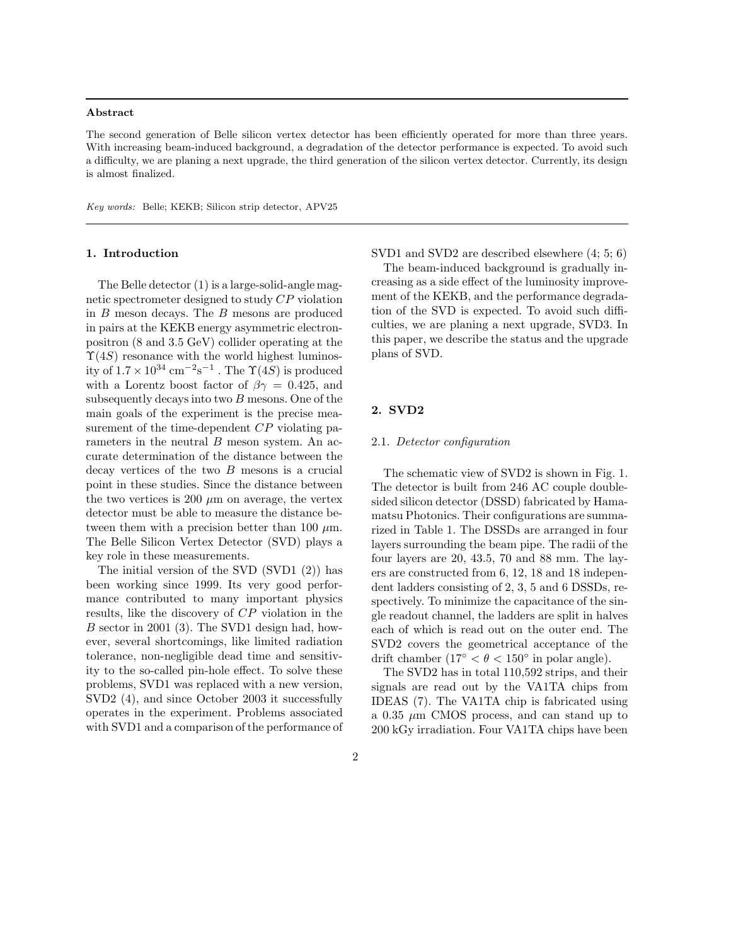#### Abstract

The second generation of Belle silicon vertex detector has been efficiently operated for more than three years. With increasing beam-induced background, a degradation of the detector performance is expected. To avoid such a difficulty, we are planing a next upgrade, the third generation of the silicon vertex detector. Currently, its design is almost finalized.

Key words: Belle; KEKB; Silicon strip detector, APV25

# 1. Introduction

The Belle detector (1) is a large-solid-angle magnetic spectrometer designed to study CP violation in  $B$  meson decays. The  $B$  mesons are produced in pairs at the KEKB energy asymmetric electronpositron (8 and 3.5 GeV) collider operating at the  $\Upsilon(4S)$  resonance with the world highest luminosity of  $1.7 \times 10^{34}$  cm<sup>-2</sup>s<sup>-1</sup>. The  $\Upsilon(4S)$  is produced with a Lorentz boost factor of  $\beta \gamma = 0.425$ , and subsequently decays into two  $B$  mesons. One of the main goals of the experiment is the precise measurement of the time-dependent CP violating parameters in the neutral B meson system. An accurate determination of the distance between the decay vertices of the two  $B$  mesons is a crucial point in these studies. Since the distance between the two vertices is 200  $\mu$ m on average, the vertex detector must be able to measure the distance between them with a precision better than 100  $\mu$ m. The Belle Silicon Vertex Detector (SVD) plays a key role in these measurements.

The initial version of the SVD (SVD1 (2)) has been working since 1999. Its very good performance contributed to many important physics results, like the discovery of CP violation in the B sector in 2001 (3). The SVD1 design had, however, several shortcomings, like limited radiation tolerance, non-negligible dead time and sensitivity to the so-called pin-hole effect. To solve these problems, SVD1 was replaced with a new version, SVD2 (4), and since October 2003 it successfully operates in the experiment. Problems associated with SVD1 and a comparison of the performance of SVD1 and SVD2 are described elsewhere (4; 5; 6)

The beam-induced background is gradually increasing as a side effect of the luminosity improvement of the KEKB, and the performance degradation of the SVD is expected. To avoid such difficulties, we are planing a next upgrade, SVD3. In this paper, we describe the status and the upgrade plans of SVD.

#### 2. SVD2

#### 2.1. Detector configuration

The schematic view of SVD2 is shown in Fig. 1. The detector is built from 246 AC couple doublesided silicon detector (DSSD) fabricated by Hamamatsu Photonics. Their configurations are summarized in Table 1. The DSSDs are arranged in four layers surrounding the beam pipe. The radii of the four layers are 20, 43.5, 70 and 88 mm. The layers are constructed from 6, 12, 18 and 18 independent ladders consisting of 2, 3, 5 and 6 DSSDs, respectively. To minimize the capacitance of the single readout channel, the ladders are split in halves each of which is read out on the outer end. The SVD2 covers the geometrical acceptance of the drift chamber  $(17^{\circ} < \theta < 150^{\circ}$  in polar angle).

The SVD2 has in total 110,592 strips, and their signals are read out by the VA1TA chips from IDEAS (7). The VA1TA chip is fabricated using a  $0.35 \mu m$  CMOS process, and can stand up to 200 kGy irradiation. Four VA1TA chips have been

2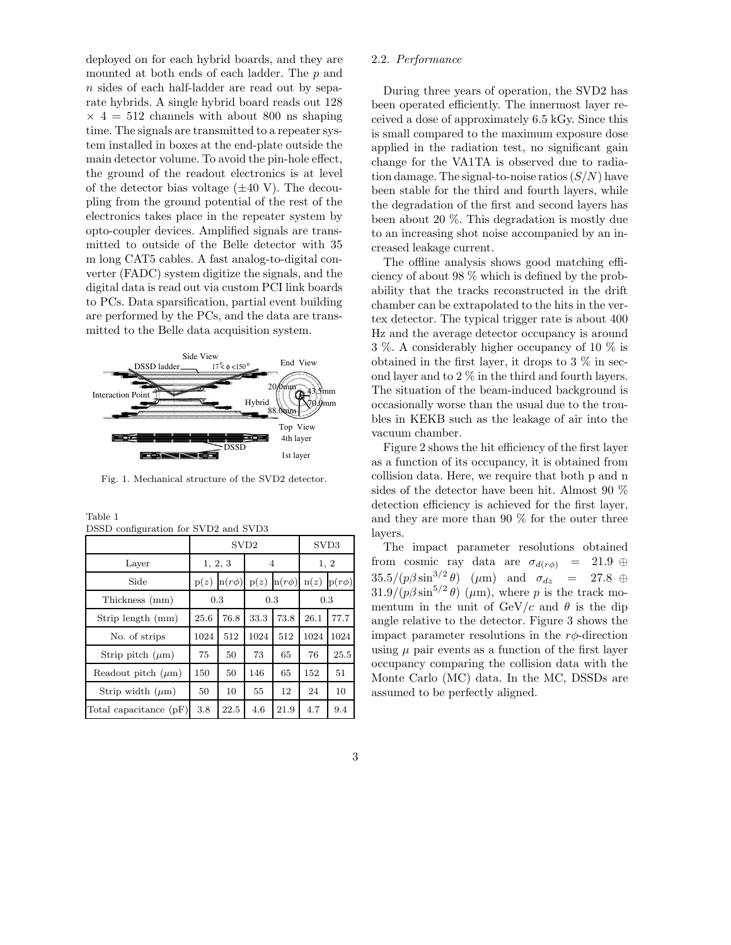deployed on for each hybrid boards, and they are mounted at both ends of each ladder. The p and n sides of each half-ladder are read out by separate hybrids. A single hybrid board reads out 128  $\times$  4 = 512 channels with about 800 ns shaping time. The signals are transmitted to a repeater system installed in boxes at the end-plate outside the main detector volume. To avoid the pin-hole effect, the ground of the readout electronics is at level of the detector bias voltage  $(\pm 40 \text{ V})$ . The decoupling from the ground potential of the rest of the electronics takes place in the repeater system by opto-coupler devices. Amplified signals are transmitted to outside of the Belle detector with 35 m long CAT5 cables. A fast analog-to-digital converter (FADC) system digitize the signals, and the digital data is read out via custom PCI link boards to PCs. Data sparsification, partial event building are performed by the PCs, and the data are transmitted to the Belle data acquisition system.



Fig. 1. Mechanical structure of the SVD2 detector.

Table 1 DSSD configuration for SVD2 and SVD3

|                         | SVD <sub>2</sub> |            |      |            | SVD <sub>3</sub> |            |
|-------------------------|------------------|------------|------|------------|------------------|------------|
| Layer                   | 1, 2, 3          |            | 4    |            | 1, 2             |            |
| Side                    | p(z)             | $n(r\phi)$ | p(z) | $n(r\phi)$ | n(z)             | $p(r\phi)$ |
| Thickness (mm)          | 0.3              |            | 0.3  |            | 0.3              |            |
| Strip length (mm)       | 25.6             | 76.8       | 33.3 | 73.8       | 26.1             | 77.7       |
| No. of strips           | 1024             | 512        | 1024 | 512        | 1024             | 1024       |
| Strip pitch $(\mu m)$   | 75               | 50         | 73   | 65         | 76               | 25.5       |
| Readout pitch $(\mu m)$ | 150              | 50         | 146  | 65         | 152              | 51         |
| Strip width $(\mu m)$   | 50               | 10         | 55   | 12         | 24               | 10         |
| Total capacitance (pF)  | 3.8              | 22.5       | 4.6  | 21.9       | 4.7              | 9.4        |

# 2.2. Performance

During three years of operation, the SVD2 has been operated efficiently. The innermost layer received a dose of approximately 6.5 kGy. Since this is small compared to the maximum exposure dose applied in the radiation test, no significant gain change for the VA1TA is observed due to radiation damage. The signal-to-noise ratios  $(S/N)$  have been stable for the third and fourth layers, while the degradation of the first and second layers has been about 20 %. This degradation is mostly due to an increasing shot noise accompanied by an increased leakage current.

The offline analysis shows good matching efficiency of about 98 % which is defined by the probability that the tracks reconstructed in the drift chamber can be extrapolated to the hits in the vertex detector. The typical trigger rate is about 400 Hz and the average detector occupancy is around 3 %. A considerably higher occupancy of 10 % is obtained in the first layer, it drops to 3 % in second layer and to 2 % in the third and fourth layers. The situation of the beam-induced background is occasionally worse than the usual due to the troubles in KEKB such as the leakage of air into the vacuum chamber.

Figure 2 shows the hit efficiency of the first layer as a function of its occupancy, it is obtained from collision data. Here, we require that both p and n sides of the detector have been hit. Almost 90 % detection efficiency is achieved for the first layer, and they are more than 90 % for the outer three layers.

The impact parameter resolutions obtained from cosmic ray data are  $\sigma_{d(r\phi)}$  = 21.9 ⊕  $35.5/(p\beta\sin^{3/2}\theta)$  ( $\mu$ m) and  $\sigma_{dz}$  = 27.8  $\oplus$  $31.9/(p\beta\sin^{5/2}\theta)$  ( $\mu$ m), where p is the track momentum in the unit of  $\frac{GeV}{c}$  and  $\theta$  is the dip angle relative to the detector. Figure 3 shows the impact parameter resolutions in the  $r\phi$ -direction using  $\mu$  pair events as a function of the first layer occupancy comparing the collision data with the Monte Carlo (MC) data. In the MC, DSSDs are assumed to be perfectly aligned.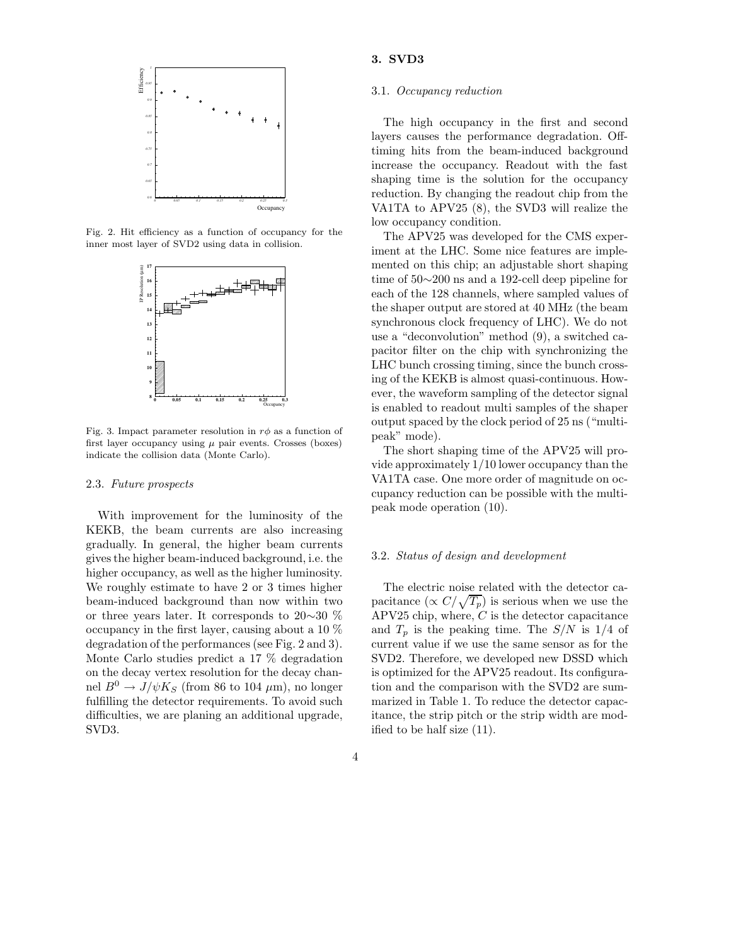

Fig. 2. Hit efficiency as a function of occupancy for the inner most layer of SVD2 using data in collision.



Fig. 3. Impact parameter resolution in  $r\phi$  as a function of first layer occupancy using  $\mu$  pair events. Crosses (boxes) indicate the collision data (Monte Carlo).

#### 2.3. Future prospects

With improvement for the luminosity of the KEKB, the beam currents are also increasing gradually. In general, the higher beam currents givesthe higher beam-induced background, i.e. the higher occupancy, as well as the higher luminosity. We roughly estimate to have 2 or 3 times higher beam-induced background than now within two or three years later. It corresponds to 20∼30 % occupancy in the first layer, causing about a 10 % degradation of the performances (see Fig. 2 and 3). Monte Carlo studies predict a 17 % degradation on the decay vertex resolution for the decay channel  $B^0 \to J/\psi K_S$  (from 86 to 104  $\mu$ m), no longer fulfilling the detector requirements. To avoid such difficulties, we are planing an additional upgrade, SVD3.

# 3. SVD3

## 3.1. Occupancy reduction

The high occupancy in the first and second layers causes the performance degradation. Offtiming hits from the beam-induced background increase the occupancy. Readout with the fast shaping time is the solution for the occupancy reduction. By changing the readout chip from the VA1TA to APV25 (8), the SVD3 will realize the low occupancy condition.

The APV25 was developed for the CMS experiment at the LHC. Some nice features are implemented on this chip; an adjustable short shaping time of 50∼200 ns and a 192-cell deep pipeline for each of the 128 channels, where sampled values of the shaper output are stored at 40 MHz (the beam synchronous clock frequency of LHC). We do not use a "deconvolution" method (9), a switched capacitor filter on the chip with synchronizing the LHC bunch crossing timing, since the bunch crossing of the KEKB is almost quasi-continuous. However, the waveform sampling of the detector signal is enabled to readout multi samples of the shaper output spaced by the clock period of 25 ns ("multipeak" mode).

The short shaping time of the APV25 will provide approximately 1/10 lower occupancy than the VA1TA case. One more order of magnitude on occupancy reduction can be possible with the multipeak mode operation (10).

#### 3.2. Status of design and development

The electric noise related with the detector capacitance  $(\propto C/\sqrt{T_p})$  is serious when we use the  $APV25$  chip, where,  $C$  is the detector capacitance and  $T_p$  is the peaking time. The  $S/N$  is 1/4 of current value if we use the same sensor as for the SVD2. Therefore, we developed new DSSD which is optimized for the APV25 readout. Its configuration and the comparison with the SVD2 are summarized in Table 1. To reduce the detector capacitance, the strip pitch or the strip width are modified to be half size (11).

4